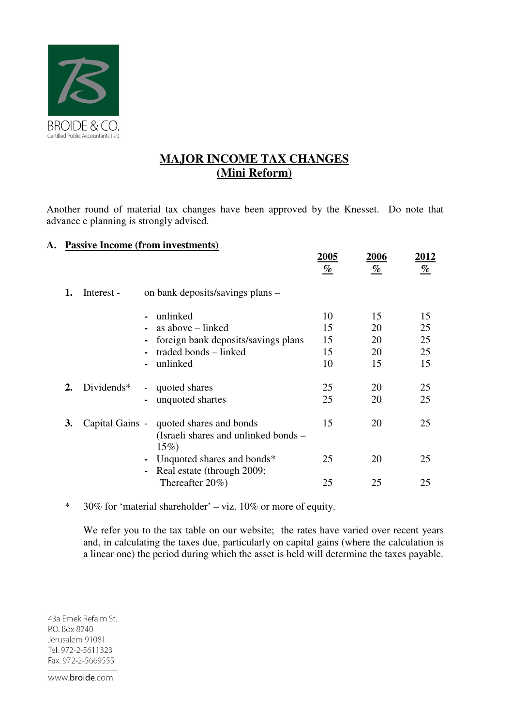

## **MAJOR INCOME TAX CHANGES (Mini Reform)**

Another round of material tax changes have been approved by the Knesset. Do note that advance e planning is strongly advised.

## **A. Passive Income (from investments)**

|    |                 |                                                                                                           | <u> 2005 </u><br>$\%$      | 2006<br>$\%$               | <u>2012</u><br>$\frac{q_0}{q_0}$ |
|----|-----------------|-----------------------------------------------------------------------------------------------------------|----------------------------|----------------------------|----------------------------------|
| 1. | Interest -      | on bank deposits/savings plans –                                                                          |                            |                            |                                  |
|    |                 | unlinked<br>as above – linked<br>foreign bank deposits/savings plans<br>traded bonds – linked<br>unlinked | 10<br>15<br>15<br>15<br>10 | 15<br>20<br>20<br>20<br>15 | 15<br>25<br>25<br>25<br>15       |
| 2. | Dividends $*$   | quoted shares<br>$\sim$<br>unquoted shartes                                                               | 25<br>25                   | 20<br>20                   | 25<br>25                         |
| 3. | Capital Gains - | quoted shares and bonds<br>(Israeli shares and unlinked bonds –<br>$15\%)$                                | 15                         | 20                         | 25                               |
|    |                 | Unquoted shares and bonds*<br>Real estate (through 2009;                                                  | 25                         | 20                         | 25                               |
|    |                 | Thereafter $20\%$ )                                                                                       | 25                         | 25                         | 25                               |

\* 30% for 'material shareholder' – viz. 10% or more of equity.

We refer you to the tax table on our website; the rates have varied over recent years and, in calculating the taxes due, particularly on capital gains (where the calculation is a linear one) the period during which the asset is held will determine the taxes payable.

43a Emek Refaim St. P.O. Box 8240 Jerusalem 91081 Tel. 972-2-5611323 Fax. 972-2-5669555

www.broide.com